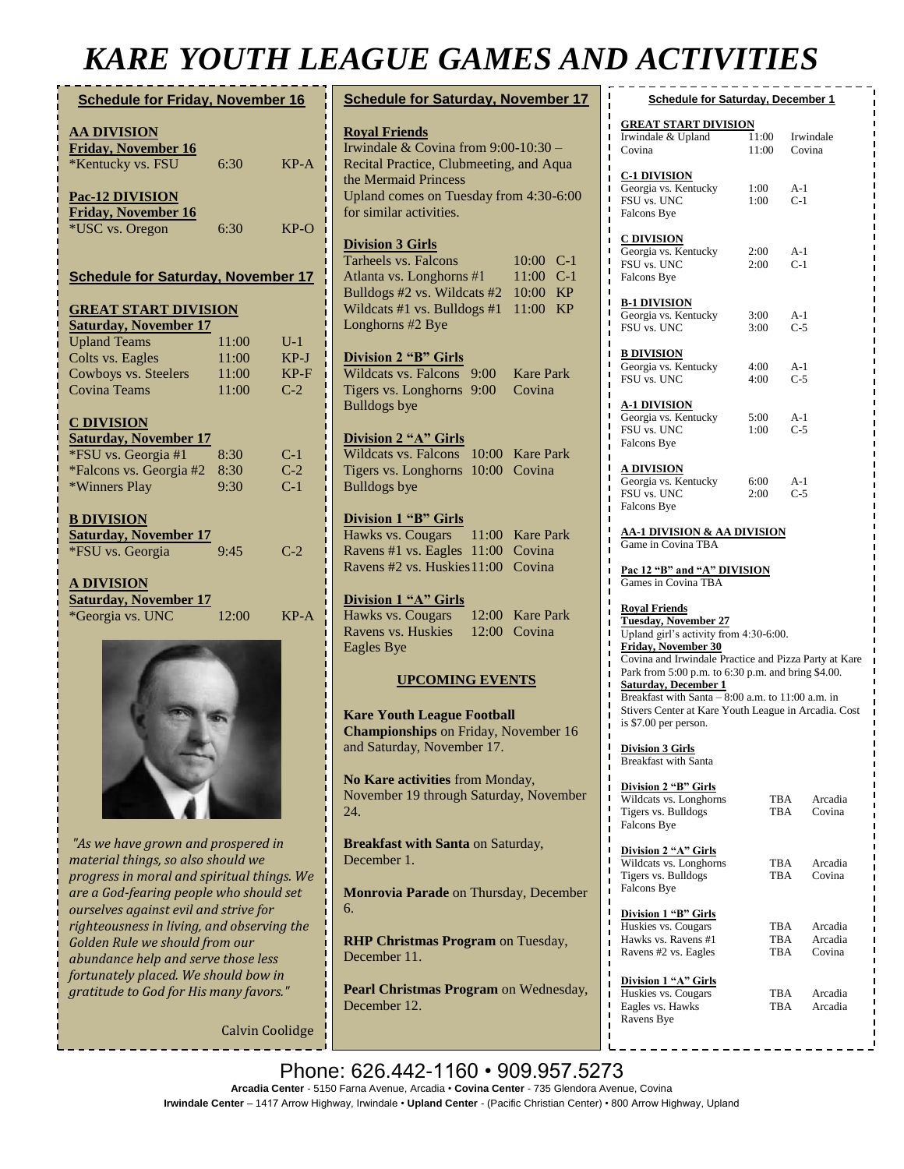## *KARE YOUTH LEAGUE GAMES AND ACTIVITIES*

| <b>Schedule for Friday, November 16</b>   |       |        |  |  |
|-------------------------------------------|-------|--------|--|--|
| <u>AA DIVISION</u>                        |       |        |  |  |
| Friday, November 16                       |       |        |  |  |
| *Kentucky vs. FSU                         | 6:30  | $KP-A$ |  |  |
|                                           |       |        |  |  |
| Pac-12 DIVISION                           |       |        |  |  |
| <b>Friday, November 16</b>                |       |        |  |  |
| *USC vs. Oregon                           | 6:30  | KP-O   |  |  |
|                                           |       |        |  |  |
|                                           |       |        |  |  |
| <b>Schedule for Saturday, November 17</b> |       |        |  |  |
| <b>GREAT START DIVISION</b>               |       |        |  |  |
| <b>Saturday, November 17</b>              |       |        |  |  |
| <b>Upland Teams</b>                       | 11:00 | $U-1$  |  |  |
| Colts vs. Eagles                          | 11:00 | $KP-J$ |  |  |
|                                           | 11:00 | $KP-F$ |  |  |
| Cowboys vs. Steelers                      |       |        |  |  |
| Covina Teams                              | 11:00 | $C-2$  |  |  |
| <b>C DIVISION</b>                         |       |        |  |  |
| <b>Saturday, November 17</b>              |       |        |  |  |
| *FSU vs. Georgia #1                       | 8:30  | $C-1$  |  |  |
| *Falcons vs. Georgia #2                   | 8:30  | $C-2$  |  |  |
| *Winners Play                             | 9:30  | $C-1$  |  |  |
|                                           |       |        |  |  |
| <b>B DIVISION</b>                         |       |        |  |  |
| <b>Saturday, November 17</b>              |       |        |  |  |
| *FSU vs. Georgia                          | 9.45  | $C-2$  |  |  |
|                                           |       |        |  |  |
| <u>A DIVISION</u>                         |       |        |  |  |
| <b>Saturday, November 17</b>              |       |        |  |  |
|                                           | 12:00 | $KP-A$ |  |  |
| *Georgia vs. UNC                          |       |        |  |  |
|                                           |       |        |  |  |
|                                           |       |        |  |  |
|                                           |       |        |  |  |
|                                           |       |        |  |  |
|                                           |       |        |  |  |
|                                           |       |        |  |  |
|                                           |       |        |  |  |

*"As we have grown and prospered in material things, so also should we progress in moral and spiritual things. We are a God-fearing people who should set ourselves against evil and strive for righteousness in living, and observing the Golden Rule we should from our abundance help and serve those less fortunately placed. We should bow in gratitude to God for His many favors."*

Calvin Coolidge

| <b>Schedule for Saturday, November 17</b>                                                                                                               | <u>s</u>                                                       |
|---------------------------------------------------------------------------------------------------------------------------------------------------------|----------------------------------------------------------------|
| <b>Royal Friends</b><br>Irwindale & Covina from 9:00-10:30 -<br>Recital Practice, Clubmeeting, and Aqua                                                 | <b>GREA</b><br>Irwinda<br>Covina                               |
| the Mermaid Princess<br>Upland comes on Tuesday from 4:30-6:00<br>for similar activities.                                                               | C-1 DI<br>Georgia<br>FSU vs.<br>Falcons                        |
| <b>Division 3 Girls</b><br>Tarheels vs. Falcons<br>10:00 C-1<br>Atlanta vs. Longhorns #1<br>11:00 C-1                                                   | C DIVI<br>Georgia<br>FSU vs.<br>Falcons                        |
| Bulldogs #2 vs. Wildcats #2<br>10:00<br>KP<br>Wildcats #1 vs. Bulldogs #1<br>11:00<br>KP<br>Longhorns #2 Bye                                            | <u>B-1 DIV</u><br>Georgia<br>FSU vs.                           |
| <b>Division 2 "B" Girls</b><br><b>Wildcats vs. Falcons</b><br><b>Kare Park</b><br>9:00<br>Tigers vs. Longhorns<br>9:00<br>Covina<br><b>Bulldogs</b> bye | <u>B DIVI</u><br>Georgia<br>FSU vs.<br><u>A-1 DIV</u>          |
| Division 2 "A" Girls<br>Wildcats vs. Falcons<br>10:00 Kare Park                                                                                         | Georgia<br>FSU vs.<br>Falcons                                  |
| Tigers vs. Longhorns 10:00 Covina<br><b>Bulldogs</b> bye                                                                                                | A DIVI<br>Georgia<br>FSU vs.<br>Falcons                        |
| Division 1 "B" Girls<br>Hawks vs. Cougars<br>11:00 Kare Park<br>Ravens #1 vs. Eagles 11:00 Covina                                                       | <u>AA-1 D</u><br>Game in                                       |
| Ravens #2 vs. Huskies 11:00<br>Covina                                                                                                                   | <u>Pac 12</u><br>Games i                                       |
| Division 1 "A" Girls<br>Hawks vs. Cougars<br>12:00<br><b>Kare Park</b><br>Ravens vs. Huskies<br>12:00<br>Covina<br>Eagles Bye                           | <b>Royal F</b><br><b>Tuesda</b><br>Upland<br>Friday,<br>Covina |
| <b>UPCOMING EVENTS</b>                                                                                                                                  | Park fro<br>Saturda                                            |
| <b>Kare Youth League Football</b><br><b>Championships</b> on Friday, November 16                                                                        | <b>Breakfa</b><br>Stivers <sup>1</sup><br>is \$7.00            |
| and Saturday, November 17.                                                                                                                              | <u>Division</u><br>ı<br>Breakfa                                |
| No Kare activities from Monday,<br>November 19 through Saturday, November<br>24.                                                                        | <b>Division</b><br>ı<br>ı<br>Wildcat<br>Tigers v<br>Falcons    |
| <b>Breakfast with Santa on Saturday,</b><br>December 1.                                                                                                 | <b>Division</b><br>ı<br>Wildcat<br>Tigers v                    |
| Monrovia Parade on Thursday, December<br>6.                                                                                                             | Falcons<br><b>Division</b>                                     |
| <b>RHP Christmas Program on Tuesday,</b><br>December 11.                                                                                                | Huskies<br>Hawks '<br>ı<br>Ravens                              |
| <b>Pearl Christmas Program on Wednesday,</b><br>December 12.                                                                                            | <b>Division</b><br>Huskies<br>Eagles y<br>Ravens               |

| 'D'ACIIVIIIE.)                                                                     |                                             |                           |  |  |  |
|------------------------------------------------------------------------------------|---------------------------------------------|---------------------------|--|--|--|
| <b>Schedule for Saturday, December 1</b><br>ı                                      |                                             |                           |  |  |  |
| <u>GREAT START DIVISION</u><br>ı                                                   |                                             |                           |  |  |  |
| Irwindale & Upland<br>ı<br>ı                                                       | 11:00                                       | Irwindale                 |  |  |  |
| Covina<br>ı                                                                        | 11:00                                       | Covina                    |  |  |  |
| ı<br><u>C-1 DIVISION</u><br>ı                                                      |                                             |                           |  |  |  |
| Georgia vs. Kentucky<br>ı                                                          | 1:00                                        | $A-1$                     |  |  |  |
| ı<br>FSU vs. UNC<br>ı                                                              | 1:00                                        | $C-1$                     |  |  |  |
| Falcons Bye<br>ı                                                                   |                                             |                           |  |  |  |
| ı<br><b>C DIVISION</b><br>ı                                                        |                                             |                           |  |  |  |
| ı<br>Georgia vs. Kentucky                                                          | 2:00                                        | $A-1$                     |  |  |  |
| ı<br>FSU vs. UNC<br>ı                                                              | 2:00                                        | $C-1$                     |  |  |  |
| Falcons Bye<br>ı                                                                   |                                             |                           |  |  |  |
| ı<br>ı<br><u>B-1 DIVISION</u>                                                      |                                             |                           |  |  |  |
| ı<br>Georgia vs. Kentucky                                                          | 3:00                                        | A-1                       |  |  |  |
| ı<br>FSU vs. UNC<br>ı                                                              | 3:00                                        | $C-5$                     |  |  |  |
| ı                                                                                  |                                             |                           |  |  |  |
| <b>B DIVISION</b><br>ı<br>ı<br>Georgia vs. Kentucky                                | 4:00                                        | A-1                       |  |  |  |
| ı<br>FSU vs. UNC                                                                   | 4:00                                        | $C-5$                     |  |  |  |
| ı<br>г                                                                             |                                             |                           |  |  |  |
| <u>A-1 DIVISION</u><br>ı                                                           |                                             |                           |  |  |  |
| ı<br>Georgia vs. Kentucky<br>ı                                                     | 5:00                                        | A-1                       |  |  |  |
| FSU vs. UNC<br>ı<br>Falcons Bye                                                    | 1:00                                        | $C-5$                     |  |  |  |
| ı<br>ı                                                                             |                                             |                           |  |  |  |
| ı<br><u>A DIVISION</u>                                                             |                                             |                           |  |  |  |
| ı<br>Georgia vs. Kentucky<br>ı                                                     | 6:00                                        | A-1                       |  |  |  |
| FSU vs. UNC<br>ı                                                                   | 2:00                                        | $C-5$                     |  |  |  |
| Falcons Bye<br>L<br>ı                                                              |                                             |                           |  |  |  |
| ı<br><u>AA-1 DIVISION &amp; AA DIVISION</u>                                        |                                             |                           |  |  |  |
| ı<br>Game in Covina TBA<br>ı                                                       |                                             |                           |  |  |  |
| ı                                                                                  |                                             |                           |  |  |  |
| Pac 12 "B" and "A" DIVISION<br>ı<br>ı<br>Games in Covina TBA                       |                                             |                           |  |  |  |
| ı                                                                                  |                                             |                           |  |  |  |
| ı<br><b>Royal Friends</b><br>ı                                                     |                                             |                           |  |  |  |
| <b>Tuesday, November 27</b><br>ı                                                   |                                             |                           |  |  |  |
| п<br><b>Friday, November 30</b>                                                    | ı<br>Upland girl's activity from 4:30-6:00. |                           |  |  |  |
| ı<br>Covina and Irwindale Practice and Pizza Party at Kare<br>ı                    |                                             |                           |  |  |  |
| Park from 5:00 p.m. to 6:30 p.m. and bring \$4.00.<br>ı                            |                                             |                           |  |  |  |
| ı<br>Saturday, December 1<br>ı                                                     |                                             |                           |  |  |  |
| Breakfast with Santa - 8:00 a.m. to 11:00 a.m. in<br>ı                             |                                             |                           |  |  |  |
| Stivers Center at Kare Youth League in Arcadia. Cost<br>п<br>is \$7.00 per person. |                                             |                           |  |  |  |
| ı<br>ı                                                                             |                                             |                           |  |  |  |
| ı<br><b>Division 3 Girls</b><br>ı                                                  |                                             |                           |  |  |  |
| <b>Breakfast with Santa</b>                                                        |                                             |                           |  |  |  |
| Division 2 "B" Girls<br>ı                                                          |                                             |                           |  |  |  |
| ı<br>Wildcats vs. Longhorns                                                        |                                             | TBA<br>Arcadia            |  |  |  |
| ı<br>Tigers vs. Bulldogs<br>ı                                                      |                                             | TBA<br>Covina             |  |  |  |
| Falcons Bye<br>ı                                                                   |                                             |                           |  |  |  |
| ı<br>ı<br>Division 2 "A" Girls                                                     |                                             |                           |  |  |  |
| ı<br>Wildcats vs. Longhorns                                                        |                                             | TBA<br>Arcadia            |  |  |  |
| ı<br>Tigers vs. Bulldogs<br>ı                                                      |                                             | Covina<br>TBA             |  |  |  |
| Falcons Bye<br>ı                                                                   |                                             |                           |  |  |  |
| ı<br>ı                                                                             |                                             |                           |  |  |  |
| <b>Division 1 "B" Girls</b><br>ı<br>Huskies vs. Cougars                            | TBA                                         | Arcadia                   |  |  |  |
| ı<br>Hawks vs. Ravens #1<br>п                                                      |                                             | TBA<br>Arcadia            |  |  |  |
| Ravens #2 vs. Eagles<br>ı                                                          |                                             | TBA<br>Covina             |  |  |  |
| ı<br>ı                                                                             |                                             |                           |  |  |  |
| Division 1 "A" Girls<br>ı                                                          |                                             |                           |  |  |  |
| Huskies vs. Cougars<br>ı<br>ı                                                      | TBA                                         | Arcadia<br>TBA<br>Arcadia |  |  |  |
| Eagles vs. Hawks<br>ı<br>Ravens Bye                                                |                                             |                           |  |  |  |
| ı<br>ı                                                                             |                                             |                           |  |  |  |